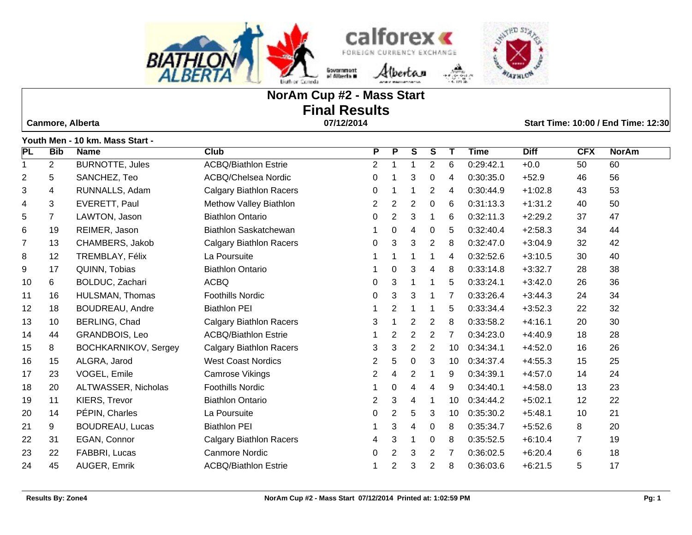

# **NorAm Cup #2 - Mass Start Final Results**

 **Canmore, Alberta 07/12/2014 Start Time: 10:00 / End Time: 12:30**

|                |                | Youth Men - 10 km. Mass Start - |                                |                |                |                |                |    |             |             |            |              |
|----------------|----------------|---------------------------------|--------------------------------|----------------|----------------|----------------|----------------|----|-------------|-------------|------------|--------------|
| <b>PL</b>      | <b>Bib</b>     | <b>Name</b>                     | <b>Club</b>                    | P              | P              | S              | S              | Т  | <b>Time</b> | <b>Diff</b> | <b>CFX</b> | <b>NorAm</b> |
| 1              | $\overline{2}$ | <b>BURNOTTE, Jules</b>          | <b>ACBQ/Biathlon Estrie</b>    | $\overline{2}$ | 1              |                | 2              | 6  | 0:29:42.1   | $+0.0$      | 50         | 60           |
| 2              | 5              | SANCHEZ, Teo                    | ACBQ/Chelsea Nordic            | 0              |                | 3              | 0              | 4  | 0:30:35.0   | $+52.9$     | 46         | 56           |
| 3              | 4              | RUNNALLS, Adam                  | <b>Calgary Biathlon Racers</b> | 0              |                |                | $\overline{2}$ | 4  | 0:30:44.9   | $+1:02.8$   | 43         | 53           |
| 4              | 3              | EVERETT, Paul                   | Methow Valley Biathlon         | $\overline{2}$ | $\overline{2}$ | $\overline{c}$ | 0              | 6  | 0:31:13.3   | $+1:31.2$   | 40         | 50           |
| 5              | 7              | LAWTON, Jason                   | <b>Biathlon Ontario</b>        | 0              | 2              | 3              |                | 6  | 0:32:11.3   | $+2:29.2$   | 37         | 47           |
| 6              | 19             | REIMER, Jason                   | <b>Biathlon Saskatchewan</b>   |                | 0              | 4              | 0              | 5  | 0:32:40.4   | $+2:58.3$   | 34         | 44           |
| $\overline{7}$ | 13             | CHAMBERS, Jakob                 | <b>Calgary Biathlon Racers</b> | 0              | 3              | 3              | $\overline{2}$ | 8  | 0:32:47.0   | $+3:04.9$   | 32         | 42           |
| 8              | 12             | TREMBLAY, Félix                 | La Poursuite                   | 1              |                |                |                | 4  | 0:32:52.6   | $+3:10.5$   | 30         | 40           |
| 9              | 17             | QUINN, Tobias                   | <b>Biathlon Ontario</b>        |                | 0              | 3              | 4              | 8  | 0:33:14.8   | $+3:32.7$   | 28         | 38           |
| 10             | 6              | BOLDUC, Zachari                 | <b>ACBQ</b>                    | 0              | 3              |                | 1              | 5  | 0:33:24.1   | $+3:42.0$   | 26         | 36           |
| 11             | 16             | HULSMAN, Thomas                 | <b>Foothills Nordic</b>        | 0              | 3              | 3              |                | 7  | 0:33:26.4   | $+3:44.3$   | 24         | 34           |
| 12             | 18             | <b>BOUDREAU, Andre</b>          | <b>Biathlon PEI</b>            |                | 2              |                | 1              | 5  | 0:33:34.4   | $+3:52.3$   | 22         | 32           |
| 13             | 10             | BERLING, Chad                   | <b>Calgary Biathlon Racers</b> | 3              |                | 2              | 2              | 8  | 0:33:58.2   | $+4:16.1$   | 20         | 30           |
| 14             | 44             | <b>GRANDBOIS, Leo</b>           | <b>ACBQ/Biathlon Estrie</b>    |                | 2              | $\overline{2}$ | $\overline{2}$ | 7  | 0:34:23.0   | $+4:40.9$   | 18         | 28           |
| 15             | 8              | <b>BOCHKARNIKOV, Sergey</b>     | <b>Calgary Biathlon Racers</b> | 3              | 3              | 2              | 2              | 10 | 0:34:34.1   | $+4:52.0$   | 16         | 26           |
| 16             | 15             | ALGRA, Jarod                    | <b>West Coast Nordics</b>      | 2              | 5              | $\mathbf 0$    | 3              | 10 | 0:34:37.4   | $+4:55.3$   | 15         | 25           |
| 17             | 23             | VOGEL, Emile                    | Camrose Vikings                | $\overline{2}$ | 4              | $\overline{2}$ | 1              | 9  | 0:34:39.1   | $+4:57.0$   | 14         | 24           |
| 18             | 20             | ALTWASSER, Nicholas             | <b>Foothills Nordic</b>        |                | 0              | 4              | 4              | 9  | 0:34:40.1   | $+4:58.0$   | 13         | 23           |
| 19             | 11             | KIERS, Trevor                   | <b>Biathlon Ontario</b>        | $\overline{2}$ | 3              | 4              |                | 10 | 0:34:44.2   | $+5:02.1$   | 12         | 22           |
| 20             | 14             | PÉPIN, Charles                  | La Poursuite                   | 0              | 2              | 5              | 3              | 10 | 0:35:30.2   | $+5:48.1$   | 10         | 21           |
| 21             | 9              | <b>BOUDREAU, Lucas</b>          | <b>Biathlon PEI</b>            | 1              | 3              | 4              | 0              | 8  | 0:35:34.7   | $+5:52.6$   | 8          | 20           |
| 22             | 31             | EGAN, Connor                    | <b>Calgary Biathlon Racers</b> | 4              | 3              |                | 0              | 8  | 0:35:52.5   | $+6:10.4$   | 7          | 19           |
| 23             | 22             | FABBRI, Lucas                   | <b>Canmore Nordic</b>          | 0              | 2              | 3              | 2              | 7  | 0:36:02.5   | $+6:20.4$   | 6          | 18           |
| 24             | 45             | AUGER, Emrik                    | <b>ACBQ/Biathlon Estrie</b>    |                | 2              | 3              | 2              | 8  | 0:36:03.6   | $+6:21.5$   | 5          | 17           |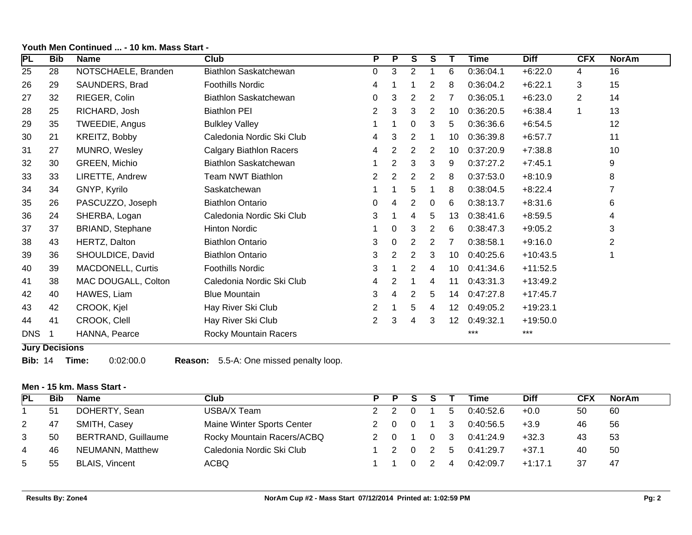| PL         | <b>Bib</b> | <b>Name</b>         | <b>Club</b>                    | P.                    | P              | S              | S              |    | <b>Time</b> | <b>Diff</b> | <b>CFX</b>     | <b>NorAm</b> |
|------------|------------|---------------------|--------------------------------|-----------------------|----------------|----------------|----------------|----|-------------|-------------|----------------|--------------|
| 25         | 28         | NOTSCHAELE, Branden | Biathlon Saskatchewan          | $\Omega$              | 3              | 2              |                | 6  | 0:36:04.1   | $+6:22.0$   | 4              | 16           |
| 26         | 29         | SAUNDERS, Brad      | Foothills Nordic               | 4                     |                |                | 2              | 8  | 0:36:04.2   | $+6:22.1$   | 3              | 15           |
| 27         | 32         | RIEGER, Colin       | Biathlon Saskatchewan          | 0                     | 3              | 2              | 2              |    | 0:36:05.1   | $+6:23.0$   | $\overline{2}$ | 14           |
| 28         | 25         | RICHARD, Josh       | <b>Biathlon PEI</b>            | $\mathbf{2}^{\prime}$ | 3              | 3              | 2              | 10 | 0:36:20.5   | $+6:38.4$   | $\mathbf 1$    | 13           |
| 29         | 35         | TWEEDIE, Angus      | <b>Bulkley Valley</b>          |                       |                | 0              | 3              | 5  | 0:36:36.6   | $+6:54.5$   |                | 12           |
| 30         | 21         | KREITZ, Bobby       | Caledonia Nordic Ski Club      | 4                     | 3              | 2              |                | 10 | 0:36:39.8   | $+6:57.7$   |                | 11           |
| 31         | 27         | MUNRO, Wesley       | <b>Calgary Biathlon Racers</b> | 4                     | $\mathbf{2}$   | 2              | 2              | 10 | 0:37:20.9   | $+7:38.8$   |                | 10           |
| 32         | 30         | GREEN, Michio       | Biathlon Saskatchewan          |                       | $\overline{2}$ | 3              | 3              | 9  | 0:37:27.2   | $+7:45.1$   |                | 9            |
| 33         | 33         | LIRETTE, Andrew     | Team NWT Biathlon              | $\overline{2}$        | $\mathbf{2}$   | $\overline{2}$ | $\overline{2}$ | 8  | 0:37:53.0   | $+8:10.9$   |                | 8            |
| 34         | 34         | GNYP, Kyrilo        | Saskatchewan                   |                       |                | 5              |                | 8  | 0:38:04.5   | $+8:22.4$   |                | 7            |
| 35         | 26         | PASCUZZO, Joseph    | <b>Biathlon Ontario</b>        | 0                     | 4              | 2              | 0              | 6  | 0:38:13.7   | $+8:31.6$   |                | 6            |
| 36         | 24         | SHERBA, Logan       | Caledonia Nordic Ski Club      | 3                     |                | 4              | 5              | 13 | 0:38:41.6   | $+8:59.5$   |                | 4            |
| 37         | 37         | BRIAND, Stephane    | <b>Hinton Nordic</b>           |                       | 0              | 3              | 2              | 6  | 0:38:47.3   | $+9:05.2$   |                | 3            |
| 38         | 43         | HERTZ, Dalton       | <b>Biathlon Ontario</b>        | 3                     | 0              | 2              | 2              | 7  | 0:38:58.1   | $+9:16.0$   |                | 2            |
| 39         | 36         | SHOULDICE, David    | <b>Biathlon Ontario</b>        | 3                     | 2              | 2              | 3              | 10 | 0:40:25.6   | $+10:43.5$  |                |              |
| 40         | 39         | MACDONELL, Curtis   | <b>Foothills Nordic</b>        | 3                     |                | 2              | 4              | 10 | 0:41:34.6   | $+11:52.5$  |                |              |
| 41         | 38         | MAC DOUGALL, Colton | Caledonia Nordic Ski Club      | 4                     | 2              |                | 4              | 11 | 0:43:31.3   | $+13:49.2$  |                |              |
| 42         | 40         | HAWES, Liam         | <b>Blue Mountain</b>           | 3                     | 4              | $\overline{2}$ | 5              | 14 | 0:47:27.8   | $+17:45.7$  |                |              |
| 43         | 42         | CROOK, Kjel         | Hay River Ski Club             | 2                     |                | 5              | 4              | 12 | 0:49:05.2   | $+19:23.1$  |                |              |
| 44         | 41         | CROOK, Clell        | Hay River Ski Club             | 2                     | 3              | 4              | 3              | 12 | 0:49:32.1   | $+19:50.0$  |                |              |
| <b>DNS</b> | 1          | HANNA, Pearce       | Rocky Mountain Racers          |                       |                |                |                |    | ***         | $***$       |                |              |

#### **Youth Men Continued ... - 10 km. Mass Start -**

#### **Jury Decisions**

**Bib:** 14 **Time:** 0:02:00.0 **Reason:** 5.5-A: One missed penalty loop.

# **Men - 15 km. Mass Start -**

| <b>PL</b> | Bib | <b>Name</b>                | Club                       | P |  |    | Time      | <b>Diff</b> | CFX | <b>NorAm</b> |
|-----------|-----|----------------------------|----------------------------|---|--|----|-----------|-------------|-----|--------------|
|           | -51 | DOHERTY, Sean              | USBA/X Team                |   |  | -5 | 0:40:52.6 | $+0.0$      | 50  | 60           |
|           | 47  | SMITH, Casey               | Maine Winter Sports Center |   |  |    | 0:40:56.5 | $+3.9$      | 46  | 56           |
| 3         | 50  | <b>BERTRAND, Guillaume</b> | Rocky Mountain Racers/ACBQ |   |  | 3  | 0:41:24.9 | $+32.3$     | 43  | 53           |
| 4         | 46  | NEUMANN, Matthew           | Caledonia Nordic Ski Club  |   |  | 5  | 0:41:29.7 | $+37.1$     | 40  | 50           |
| 5         | 55  | <b>BLAIS, Vincent</b>      | <b>ACBQ</b>                |   |  | 4  | 0:42:09.7 | $+1:17.1$   | 37  | 47           |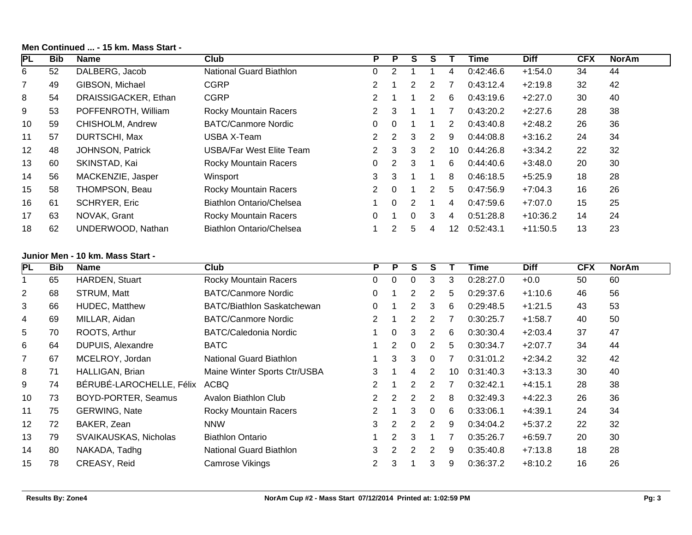| PL                       | <b>Bib</b> | <b>Name</b>                      | Club                              | P              | P              | S                                      | S                       | Τ              | <b>Time</b> | <b>Diff</b> | <b>CFX</b> | <b>NorAm</b>       |
|--------------------------|------------|----------------------------------|-----------------------------------|----------------|----------------|----------------------------------------|-------------------------|----------------|-------------|-------------|------------|--------------------|
| 6                        | 52         | DALBERG, Jacob                   | National Guard Biathlon           | 0              | $\overline{2}$ | $\mathbf{1}$                           | $\mathbf{1}$            | 4              | 0:42:46.6   | $+1:54.0$   | 34         | 44                 |
| $\overline{7}$           | 49         | GIBSON, Michael                  | <b>CGRP</b>                       | 2              |                | $\overline{2}$                         | $\overline{2}$          | 7              | 0:43:12.4   | $+2:19.8$   | 32         | 42                 |
| 8                        | 54         | DRAISSIGACKER, Ethan             | <b>CGRP</b>                       | 2              |                | $\mathbf{1}$                           | $\overline{2}$          | 6              | 0:43:19.6   | $+2:27.0$   | 30         | 40                 |
| 9                        | 53         | POFFENROTH, William              | Rocky Mountain Racers             | 2              | $\sqrt{3}$     | 1                                      | $\mathbf 1$             | 7              | 0:43:20.2   | $+2:27.6$   | 28         | 38                 |
| 10                       | 59         | CHISHOLM, Andrew                 | <b>BATC/Canmore Nordic</b>        | 0              | 0              | 1                                      | $\mathbf 1$             | 2              | 0:43:40.8   | $+2:48.2$   | 26         | 36                 |
| 11                       | 57         | DURTSCHI, Max                    | <b>USBA X-Team</b>                | 2              | $\overline{c}$ | 3                                      | $\overline{2}$          | 9              | 0:44:08.8   | $+3:16.2$   | 24         | 34                 |
| 12                       | 48         | JOHNSON, Patrick                 | <b>USBA/Far West Elite Team</b>   | 2              | 3              | 3                                      | $\overline{2}$          | 10             | 0:44:26.8   | $+3:34.2$   | 22         | 32                 |
| 13                       | 60         | SKINSTAD, Kai                    | Rocky Mountain Racers             | 0              | $\overline{c}$ | 3                                      | $\mathbf{1}$            | 6              | 0:44:40.6   | $+3:48.0$   | 20         | 30                 |
| 14                       | 56         | MACKENZIE, Jasper                | Winsport                          | 3              | 3              | $\mathbf{1}$                           | $\mathbf 1$             | 8              | 0:46:18.5   | $+5:25.9$   | 18         | 28                 |
| 15                       | 58         | THOMPSON, Beau                   | Rocky Mountain Racers             | 2              | 0              | $\mathbf{1}$                           | $\overline{2}$          | 5              | 0:47:56.9   | $+7:04.3$   | 16         | 26                 |
| 16                       | 61         | <b>SCHRYER, Eric</b>             | <b>Biathlon Ontario/Chelsea</b>   | 1              | 0              | $\overline{2}$                         | $\mathbf{1}$            | 4              | 0:47:59.6   | $+7:07.0$   | 15         | 25                 |
| 17                       | 63         | NOVAK, Grant                     | Rocky Mountain Racers             | 0              | 1              | 0                                      | $\sqrt{3}$              | 4              | 0:51:28.8   | $+10:36.2$  | 14         | 24                 |
| 18                       | 62         | UNDERWOOD, Nathan                | <b>Biathlon Ontario/Chelsea</b>   | 1              | $\overline{2}$ | 5                                      | 4                       | 12             | 0:52:43.1   | $+11:50.5$  | 13         | 23                 |
|                          |            | Junior Men - 10 km. Mass Start - |                                   |                |                |                                        |                         |                |             |             |            |                    |
|                          |            |                                  |                                   |                |                |                                        |                         |                |             |             |            |                    |
| $\overline{\mathsf{PL}}$ | <b>Bib</b> | <b>Name</b>                      | Club                              | P              | $\overline{P}$ |                                        | $\overline{\mathbf{s}}$ | T              | <b>Time</b> | <b>Diff</b> | CFX        |                    |
| 1                        | 65         | HARDEN, Stuart                   | <b>Rocky Mountain Racers</b>      | $\mathbf 0$    | $\mathbf 0$    | $\overline{\mathbf{s}}$<br>$\mathbf 0$ | 3                       | 3              | 0:28:27.0   | $+0.0$      | 50         | <b>NorAm</b><br>60 |
| 2                        | 68         | STRUM, Matt                      | <b>BATC/Canmore Nordic</b>        | 0              | 1              | $\overline{2}$                         | $\overline{2}$          | 5              | 0:29:37.6   | $+1:10.6$   | 46         | 56                 |
| 3                        | 66         | HUDEC, Matthew                   | <b>BATC/Biathlon Saskatchewan</b> | 0              | 1              | $\overline{2}$                         | 3                       | 6              | 0:29:48.5   | $+1:21.5$   | 43         | 53                 |
| 4                        | 69         | MILLAR, Aidan                    | <b>BATC/Canmore Nordic</b>        | 2              |                | $\overline{2}$                         | 2                       | $\overline{7}$ | 0:30:25.7   | $+1:58.7$   | 40         | 50                 |
| 5                        | 70         | ROOTS, Arthur                    | <b>BATC/Caledonia Nordic</b>      |                | 0              | 3                                      | $\overline{2}$          | 6              | 0:30:30.4   | $+2:03.4$   | 37         | 47                 |
| 6                        | 64         | DUPUIS, Alexandre                | <b>BATC</b>                       |                | $\mathbf{2}$   | 0                                      | $\overline{2}$          | 5              | 0:30:34.7   | $+2:07.7$   | 34         | 44                 |
| 7                        | 67         | MCELROY, Jordan                  | <b>National Guard Biathlon</b>    | 1              | 3              | 3                                      | 0                       | $\overline{7}$ | 0:31:01.2   | $+2:34.2$   | 32         | 42                 |
| 8                        | 71         | HALLIGAN, Brian                  | Maine Winter Sports Ctr/USBA      | 3              | 1              | 4                                      | $\overline{2}$          | 10             | 0:31:40.3   | $+3:13.3$   | 30         | 40                 |
| 9                        | 74         | BÉRUBÉ-LAROCHELLE, Félix         | <b>ACBQ</b>                       | 2              | 1              | $\overline{2}$                         | $\overline{2}$          | $\overline{7}$ | 0:32:42.1   | $+4:15.1$   | 28         | 38                 |
| 10                       | 73         | BOYD-PORTER, Seamus              | Avalon Biathlon Club              | $\overline{c}$ | $\overline{c}$ | $\sqrt{2}$                             | $\mathbf{2}$            | 8              | 0:32:49.3   | $+4:22.3$   | 26         | 36                 |
| 11                       | 75         | <b>GERWING, Nate</b>             | Rocky Mountain Racers             | 2              | 1              | 3                                      | $\pmb{0}$               | 6              | 0:33:06.1   | $+4:39.1$   | 24         | 34                 |
| 12                       | 72         | BAKER, Zean                      | <b>NNW</b>                        | 3              | $\overline{2}$ | $\overline{2}$                         | $\overline{2}$          | 9              | 0:34:04.2   | $+5:37.2$   | 22         | 32                 |
| 13                       | 79         | SVAIKAUSKAS, Nicholas            | <b>Biathlon Ontario</b>           |                | $\overline{2}$ | 3                                      | $\mathbf{1}$            | 7              | 0:35:26.7   | $+6:59.7$   | 20         | 30                 |
| 14                       | 80         | NAKADA, Tadhg                    | <b>National Guard Biathlon</b>    | 3              | $\overline{2}$ | $\mathbf{2}$                           | $\overline{2}$          | 9              | 0:35:40.8   | $+7:13.8$   | 18         | 28                 |
| 15                       | 78         | CREASY, Reid                     | Camrose Vikings                   | 2              | 3              | 1                                      | 3                       | 9              | 0:36:37.2   | $+8:10.2$   | 16         | 26                 |

#### **Men Continued ... - 15 km. Mass Start -**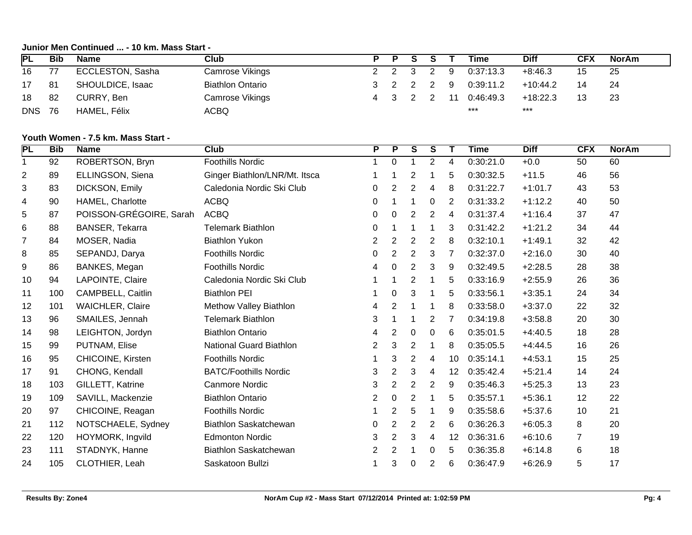### **Junior Men Continued ... - 10 km. Mass Start -**

| PL              | Bib  | Name             | Club                    | P | <b>P</b> |           |    | Time          | Diff       | CFX | NorAm |
|-----------------|------|------------------|-------------------------|---|----------|-----------|----|---------------|------------|-----|-------|
| 16              | 77   | ECCLESTON, Sasha | Camrose Vikings         |   |          | 2 2 3 2   | -9 | 0:37:13.3     | $+8:46.3$  | 15  | 25    |
| 17 <sup>7</sup> | - 81 | SHOULDICE, Isaac | <b>Biathlon Ontario</b> |   |          | 3 2 2 2 9 |    | 0:39:11.2     | $+10:44.2$ | 14  | -24   |
| 18              | 82   | CURRY, Ben       | Camrose Vikings         |   |          | 4 3 2 2   |    | 11  0:46:49.3 | $+18.22.3$ | 13  | 23    |
| <b>DNS 76</b>   |      | HAMEL, Félix     | ACBQ                    |   |          |           |    | $***$         | $***$      |     |       |

### **Youth Women - 7.5 km. Mass Start -**

| PL             | <b>Bib</b> | <b>Name</b>             | Club                          | P              | P              | $\overline{\mathbf{s}}$ | S              | Т  | Time      | <b>Diff</b> | <b>CFX</b>     | <b>NorAm</b> |
|----------------|------------|-------------------------|-------------------------------|----------------|----------------|-------------------------|----------------|----|-----------|-------------|----------------|--------------|
| 1              | 92         | ROBERTSON, Bryn         | Foothills Nordic              | $\mathbf{1}$   | $\mathbf 0$    | $\mathbf{1}$            | $\overline{2}$ | 4  | 0:30:21.0 | $+0.0$      | 50             | 60           |
| $\overline{2}$ | 89         | ELLINGSON, Siena        | Ginger Biathlon/LNR/Mt. Itsca |                |                | $\overline{2}$          | 1              | 5  | 0:30:32.5 | $+11.5$     | 46             | 56           |
| 3              | 83         | DICKSON, Emily          | Caledonia Nordic Ski Club     | 0              | $\overline{2}$ | $\overline{2}$          | 4              | 8  | 0:31:22.7 | $+1:01.7$   | 43             | 53           |
| 4              | 90         | HAMEL, Charlotte        | <b>ACBQ</b>                   | 0              |                | 1                       | 0              | 2  | 0:31:33.2 | $+1:12.2$   | 40             | 50           |
| 5              | 87         | POISSON-GRÉGOIRE, Sarah | <b>ACBQ</b>                   | 0              | 0              | $\overline{2}$          | 2              | 4  | 0:31:37.4 | $+1:16.4$   | 37             | 47           |
| 6              | 88         | BANSER, Tekarra         | <b>Telemark Biathlon</b>      | 0              |                | -1                      |                | 3  | 0:31:42.2 | $+1:21.2$   | 34             | 44           |
| $\overline{7}$ | 84         | MOSER, Nadia            | <b>Biathlon Yukon</b>         | $\overline{2}$ | $\overline{2}$ | $\overline{2}$          | $\overline{2}$ | 8  | 0:32:10.1 | $+1:49.1$   | 32             | 42           |
| 8              | 85         | SEPANDJ, Darya          | <b>Foothills Nordic</b>       | $\overline{0}$ | $\overline{2}$ | $\overline{2}$          | 3              | 7  | 0:32:37.0 | $+2:16.0$   | 30             | 40           |
| 9              | 86         | BANKES, Megan           | <b>Foothills Nordic</b>       | 4              | 0              | $\overline{2}$          | 3              | 9  | 0:32:49.5 | $+2:28.5$   | 28             | 38           |
| 10             | 94         | LAPOINTE, Claire        | Caledonia Nordic Ski Club     |                |                | $\overline{2}$          | 1              | 5  | 0:33:16.9 | $+2:55.9$   | 26             | 36           |
| 11             | 100        | CAMPBELL, Caitlin       | <b>Biathlon PEI</b>           |                | 0              | 3                       |                | 5  | 0:33:56.1 | $+3:35.1$   | 24             | 34           |
| 12             | 101        | <b>WAICHLER, Claire</b> | Methow Valley Biathlon        | 4              | $\overline{c}$ | -1                      | 1              | 8  | 0:33:58.0 | $+3:37.0$   | 22             | 32           |
| 13             | 96         | SMAILES, Jennah         | <b>Telemark Biathlon</b>      | 3              |                |                         | 2              | 7  | 0:34:19.8 | $+3:58.8$   | 20             | 30           |
| 14             | 98         | LEIGHTON, Jordyn        | <b>Biathlon Ontario</b>       | 4              | 2              | $\mathbf 0$             | $\mathbf 0$    | 6  | 0:35:01.5 | $+4:40.5$   | 18             | 28           |
| 15             | 99         | PUTNAM, Elise           | National Guard Biathlon       | $\overline{2}$ | 3              | $\boldsymbol{2}$        | 1              | 8  | 0:35:05.5 | $+4:44.5$   | 16             | 26           |
| 16             | 95         | CHICOINE, Kirsten       | <b>Foothills Nordic</b>       |                | 3              | $\boldsymbol{2}$        | 4              | 10 | 0:35:14.1 | $+4:53.1$   | 15             | 25           |
| 17             | 91         | CHONG, Kendall          | <b>BATC/Foothills Nordic</b>  | 3              | $\overline{c}$ | 3                       | 4              | 12 | 0:35:42.4 | $+5:21.4$   | 14             | 24           |
| 18             | 103        | GILLETT, Katrine        | <b>Canmore Nordic</b>         | 3              | $\overline{c}$ | $\sqrt{2}$              | $\overline{2}$ | 9  | 0:35:46.3 | $+5:25.3$   | 13             | 23           |
| 19             | 109        | SAVILL, Mackenzie       | <b>Biathlon Ontario</b>       | $\overline{2}$ | 0              | $\overline{2}$          |                | 5  | 0:35:57.1 | $+5:36.1$   | 12             | 22           |
| 20             | 97         | CHICOINE, Reagan        | <b>Foothills Nordic</b>       |                | 2              | 5                       | 1              | 9  | 0:35:58.6 | $+5:37.6$   | 10             | 21           |
| 21             | 112        | NOTSCHAELE, Sydney      | <b>Biathlon Saskatchewan</b>  | 0              | $\overline{2}$ | $\overline{2}$          | $\overline{2}$ | 6  | 0:36:26.3 | $+6:05.3$   | 8              | 20           |
| 22             | 120        | HOYMORK, Ingvild        | <b>Edmonton Nordic</b>        | 3              | $\overline{c}$ | 3                       | 4              | 12 | 0:36:31.6 | $+6:10.6$   | $\overline{7}$ | 19           |
| 23             | 111        | STADNYK, Hanne          | <b>Biathlon Saskatchewan</b>  | 2              | 2              |                         | 0              | 5  | 0:36:35.8 | $+6:14.8$   | 6              | 18           |
| 24             | 105        | CLOTHIER, Leah          | Saskatoon Bullzi              |                | 3              | 0                       | 2              | 6  | 0:36:47.9 | $+6:26.9$   | 5              | 17           |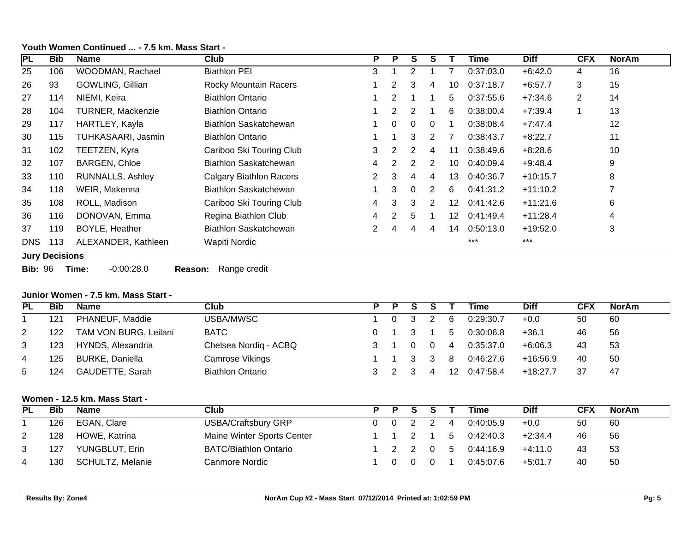| <b>PL</b> | <b>Bib</b>            | <b>Name</b>              | <b>Club</b>                    | P              | P              | S              | S              |    | Time      | <b>Diff</b> | <b>CFX</b> | <b>NorAm</b>   |
|-----------|-----------------------|--------------------------|--------------------------------|----------------|----------------|----------------|----------------|----|-----------|-------------|------------|----------------|
| 25        | 106                   | WOODMAN, Rachael         | <b>Biathlon PEI</b>            | 3              |                |                |                |    | 0:37:03.0 | $+6:42.0$   | 4          | 16             |
| 26        | 93                    | GOWLING, Gillian         | <b>Rocky Mountain Racers</b>   |                | $\overline{2}$ | 3              | 4              | 10 | 0:37:18.7 | $+6:57.7$   | 3          | 15             |
| 27        | 114                   | NIEMI, Keira             | <b>Biathlon Ontario</b>        |                | $\overline{2}$ |                |                | 5  | 0:37:55.6 | $+7:34.6$   | 2          | 14             |
| 28        | 104                   | <b>TURNER, Mackenzie</b> | <b>Biathlon Ontario</b>        |                | $\overline{2}$ | $\overline{2}$ |                | 6  | 0:38:00.4 | $+7:39.4$   |            | 13             |
| 29        | 117                   | HARTLEY, Kayla           | Biathlon Saskatchewan          |                | $\Omega$       | $\Omega$       | $\Omega$       |    | 0:38:08.4 | $+7:47.4$   |            | 12             |
| 30        | 115                   | TUHKASAARI, Jasmin       | <b>Biathlon Ontario</b>        |                |                | 3              | 2              | 7  | 0:38:43.7 | $+8:22.7$   |            | 11             |
| 31        | 102                   | TEETZEN, Kyra            | Cariboo Ski Touring Club       | 3              | $\overline{2}$ | 2              | 4              | 11 | 0:38:49.6 | $+8:28.6$   |            | 10             |
| 32        | 107                   | <b>BARGEN, Chloe</b>     | Biathlon Saskatchewan          | 4              | 2              | 2              | 2              | 10 | 0:40:09.4 | $+9:48.4$   |            | 9              |
| 33        | 110                   | <b>RUNNALLS, Ashley</b>  | <b>Calgary Biathlon Racers</b> | 2              | 3              | 4              | 4              | 13 | 0:40:36.7 | $+10:15.7$  |            | 8              |
| 34        | 118                   | WEIR, Makenna            | Biathlon Saskatchewan          |                | 3              | $\Omega$       | $\overline{2}$ | 6  | 0:41:31.2 | $+11:10.2$  |            | $\overline{ }$ |
| 35        | 108                   | ROLL, Madison            | Cariboo Ski Touring Club       | 4              | 3              | 3              | $\overline{2}$ | 12 | 0:41:42.6 | $+11:21.6$  |            | 6              |
| 36        | 116                   | DONOVAN, Emma            | Regina Biathlon Club           | $\overline{4}$ | 2              | 5              |                | 12 | 0:41:49.4 | $+11:28.4$  |            | 4              |
| 37        | 119                   | <b>BOYLE, Heather</b>    | Biathlon Saskatchewan          |                | 4              | 4              | 4              | 14 | 0:50:13.0 | $+19:52.0$  |            | 3              |
| DNS       | 113                   | ALEXANDER, Kathleen      | Wapiti Nordic                  |                |                |                |                |    | $***$     | $***$       |            |                |
|           | <b>Jury Decisions</b> |                          |                                |                |                |                |                |    |           |             |            |                |

#### **Youth Women Continued ... - 7.5 km. Mass Start -**

**Bib:** 96 **Time:** -0:00:28.0 **Reason:** Range credit

# **Junior Women - 7.5 km. Mass Start -**

| IPL | Bib | <b>Name</b>            | Club                    | P. | P |          |                | Time         | <b>Diff</b> | <b>CFX</b> | <b>NorAm</b> |
|-----|-----|------------------------|-------------------------|----|---|----------|----------------|--------------|-------------|------------|--------------|
|     | 121 | PHANEUF, Maddie        | USBA/MWSC               |    |   |          | -6             | 0:29:30.7    | $+0.0$      | 50         | 60           |
| 2   | 122 | TAM VON BURG, Leilani  | <b>BATC</b>             |    |   |          | -5             | 0:30:06.8    | $+36.1$     | 46         | 56           |
| 3   | 123 | HYNDS, Alexandria      | Chelsea Nordiq - ACBQ   |    |   | $\Omega$ | $\overline{4}$ | 0:35:37.0    | $+6:06.3$   | 43         | -53          |
| 4   | 125 | <b>BURKE, Daniella</b> | Camrose Vikings         |    |   | -3       | -8             | 0:46:27.6    | $+16.56.9$  | 40         | 50           |
| 5   | 124 | GAUDETTE, Sarah        | <b>Biathlon Ontario</b> |    |   |          |                | 12 0:47:58.4 | $+18:27.7$  | 37         | -47          |

# **Women - 12.5 km. Mass Start -**

| PL             | Bib | <b>Name</b>      | Club                         | P P |           |                | Time      | Diff      | <b>CFX</b> | <b>NorAm</b> |
|----------------|-----|------------------|------------------------------|-----|-----------|----------------|-----------|-----------|------------|--------------|
|                | 126 | EGAN, Clare      | USBA/Craftsbury GRP          |     | 0 0 2 2   | $\overline{4}$ | 0:40:05.9 | $+0.0$    | 50         | 60           |
| 2              | 128 | HOWE, Katrina    | Maine Winter Sports Center   |     | 1 1 2 1   | - 5            | 0:42:40.3 | $+2:34.4$ | 46         | 56           |
| 3              | 127 | YUNGBLUT, Erin   | <b>BATC/Biathlon Ontario</b> |     | 1 2 2 0 5 |                | 0:44:16.9 | +4:11.0   | 43         | 53           |
| $\overline{4}$ | 130 | SCHULTZ, Melanie | Canmore Nordic               |     |           |                | 0:45:07.6 | +5:01.7   | 40         | -50          |